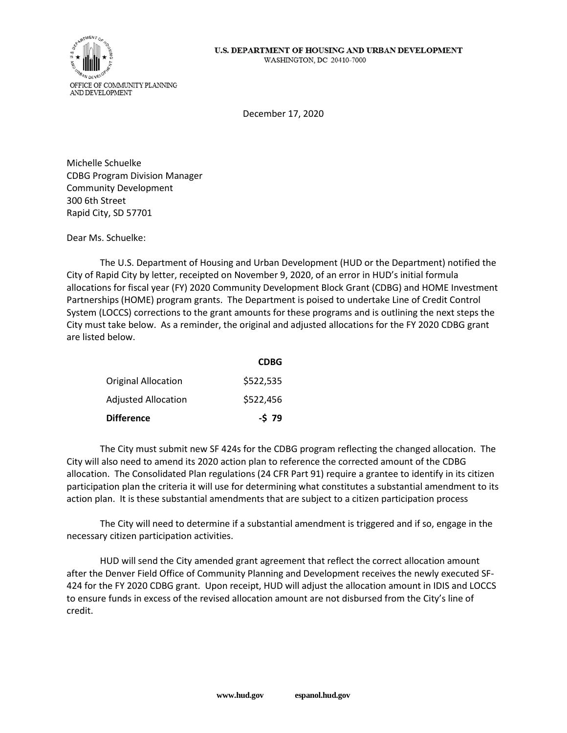

December 17, 2020

Michelle Schuelke CDBG Program Division Manager Community Development 300 6th Street Rapid City, SD 57701

Dear Ms. Schuelke:

The U.S. Department of Housing and Urban Development (HUD or the Department) notified the City of Rapid City by letter, receipted on November 9, 2020, of an error in HUD's initial formula allocations for fiscal year (FY) 2020 Community Development Block Grant (CDBG) and HOME Investment Partnerships (HOME) program grants. The Department is poised to undertake Line of Credit Control System (LOCCS) corrections to the grant amounts for these programs and is outlining the next steps the City must take below. As a reminder, the original and adjusted allocations for the FY 2020 CDBG grant are listed below.

|                     | <b>CDBG</b> |
|---------------------|-------------|
| Original Allocation | \$522,535   |
| Adjusted Allocation | \$522,456   |
| Difference          | $-579$      |

The City must submit new SF 424s for the CDBG program reflecting the changed allocation. The City will also need to amend its 2020 action plan to reference the corrected amount of the CDBG allocation. The Consolidated Plan regulations (24 CFR Part 91) require a grantee to identify in its citizen participation plan the criteria it will use for determining what constitutes a substantial amendment to its action plan. It is these substantial amendments that are subject to a citizen participation process

The City will need to determine if a substantial amendment is triggered and if so, engage in the necessary citizen participation activities.

HUD will send the City amended grant agreement that reflect the correct allocation amount after the Denver Field Office of Community Planning and Development receives the newly executed SF-424 for the FY 2020 CDBG grant. Upon receipt, HUD will adjust the allocation amount in IDIS and LOCCS to ensure funds in excess of the revised allocation amount are not disbursed from the City's line of credit.